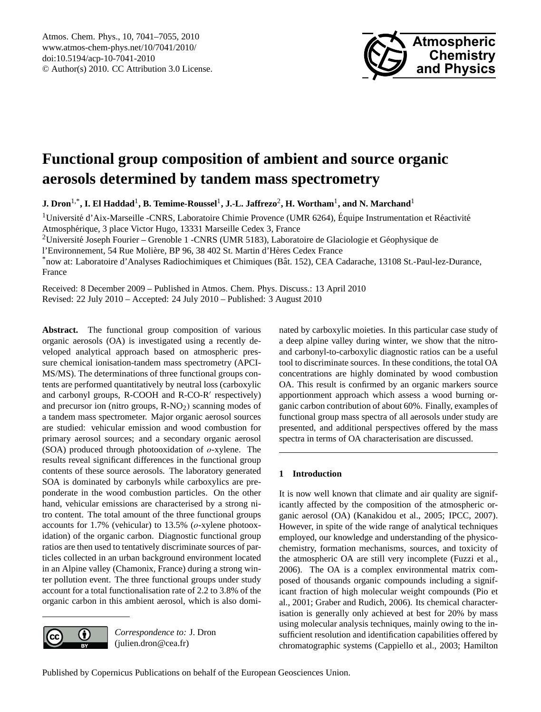

# <span id="page-0-0"></span>**Functional group composition of ambient and source organic aerosols determined by tandem mass spectrometry**

 ${\bf J. Dron}^{1, *}, {\bf I.}$  El Haddad $^1, {\bf B.}$  Temime-Roussel $^1, {\bf J.}$ -L. Jaffrezo $^2, {\bf H.}$  Wortham $^1,$  and N. Marchand $^1$ 

 $1$ Université d'Aix-Marseille -CNRS, Laboratoire Chimie Provence (UMR 6264), Équipe Instrumentation et Réactivité Atmospherique, 3 place Victor Hugo, 13331 Marseille Cedex 3, France ´

<sup>2</sup>Université Joseph Fourier – Grenoble 1 -CNRS (UMR 5183), Laboratoire de Glaciologie et Géophysique de

l'Environnement, 54 Rue Molière, BP 96, 38 402 St. Martin d'Hères Cedex France

\*now at: Laboratoire d'Analyses Radiochimiques et Chimiques (Bat. 152), CEA Cadarache, 13108 St.-Paul-lez-Durance, ˆ France

Received: 8 December 2009 – Published in Atmos. Chem. Phys. Discuss.: 13 April 2010

Revised: 22 July 2010 – Accepted: 24 July 2010 – Published: 3 August 2010

**Abstract.** The functional group composition of various organic aerosols (OA) is investigated using a recently developed analytical approach based on atmospheric pressure chemical ionisation-tandem mass spectrometry (APCI-MS/MS). The determinations of three functional groups contents are performed quantitatively by neutral loss (carboxylic and carbonyl groups, R-COOH and R-CO-R' respectively) and precursor ion (nitro groups,  $R-NO<sub>2</sub>$ ) scanning modes of a tandem mass spectrometer. Major organic aerosol sources are studied: vehicular emission and wood combustion for primary aerosol sources; and a secondary organic aerosol (SOA) produced through photooxidation of  $o$ -xylene. The results reveal significant differences in the functional group contents of these source aerosols. The laboratory generated SOA is dominated by carbonyls while carboxylics are preponderate in the wood combustion particles. On the other hand, vehicular emissions are characterised by a strong nitro content. The total amount of the three functional groups accounts for 1.7% (vehicular) to 13.5% (o-xylene photooxidation) of the organic carbon. Diagnostic functional group ratios are then used to tentatively discriminate sources of particles collected in an urban background environment located in an Alpine valley (Chamonix, France) during a strong winter pollution event. The three functional groups under study account for a total functionalisation rate of 2.2 to 3.8% of the organic carbon in this ambient aerosol, which is also domi-



*Correspondence to:* J. Dron (julien.dron@cea.fr)

nated by carboxylic moieties. In this particular case study of a deep alpine valley during winter, we show that the nitroand carbonyl-to-carboxylic diagnostic ratios can be a useful tool to discriminate sources. In these conditions, the total OA concentrations are highly dominated by wood combustion OA. This result is confirmed by an organic markers source apportionment approach which assess a wood burning organic carbon contribution of about 60%. Finally, examples of functional group mass spectra of all aerosols under study are presented, and additional perspectives offered by the mass spectra in terms of OA characterisation are discussed.

# **1 Introduction**

It is now well known that climate and air quality are significantly affected by the composition of the atmospheric organic aerosol (OA) (Kanakidou et al., 2005; IPCC, 2007). However, in spite of the wide range of analytical techniques employed, our knowledge and understanding of the physicochemistry, formation mechanisms, sources, and toxicity of the atmospheric OA are still very incomplete (Fuzzi et al., 2006). The OA is a complex environmental matrix composed of thousands organic compounds including a significant fraction of high molecular weight compounds (Pio et al., 2001; Graber and Rudich, 2006). Its chemical characterisation is generally only achieved at best for 20% by mass using molecular analysis techniques, mainly owing to the insufficient resolution and identification capabilities offered by chromatographic systems (Cappiello et al., 2003; Hamilton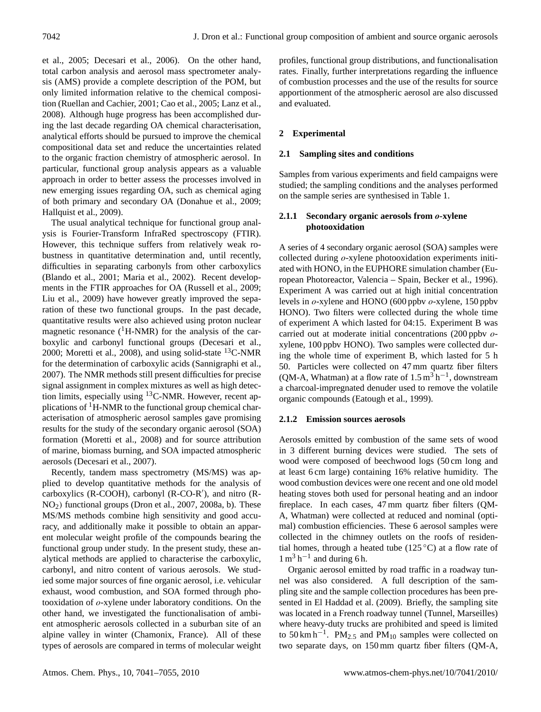et al., 2005; Decesari et al., 2006). On the other hand, total carbon analysis and aerosol mass spectrometer analysis (AMS) provide a complete description of the POM, but only limited information relative to the chemical composition (Ruellan and Cachier, 2001; Cao et al., 2005; Lanz et al., 2008). Although huge progress has been accomplished during the last decade regarding OA chemical characterisation, analytical efforts should be pursued to improve the chemical compositional data set and reduce the uncertainties related to the organic fraction chemistry of atmospheric aerosol. In particular, functional group analysis appears as a valuable approach in order to better assess the processes involved in new emerging issues regarding OA, such as chemical aging of both primary and secondary OA (Donahue et al., 2009; Hallquist et al., 2009).

The usual analytical technique for functional group analysis is Fourier-Transform InfraRed spectroscopy (FTIR). However, this technique suffers from relatively weak robustness in quantitative determination and, until recently, difficulties in separating carbonyls from other carboxylics (Blando et al., 2001; Maria et al., 2002). Recent developments in the FTIR approaches for OA (Russell et al., 2009; Liu et al., 2009) have however greatly improved the separation of these two functional groups. In the past decade, quantitative results were also achieved using proton nuclear magnetic resonance  $(^1H\text{-NMR})$  for the analysis of the carboxylic and carbonyl functional groups (Decesari et al., 2000; Moretti et al., 2008), and using solid-state  ${}^{13}$ C-NMR for the determination of carboxylic acids (Sannigraphi et al., 2007). The NMR methods still present difficulties for precise signal assignment in complex mixtures as well as high detection limits, especially using <sup>13</sup>C-NMR. However, recent applications of  ${}^{1}$ H-NMR to the functional group chemical characterisation of atmospheric aerosol samples gave promising results for the study of the secondary organic aerosol (SOA) formation (Moretti et al., 2008) and for source attribution of marine, biomass burning, and SOA impacted atmospheric aerosols (Decesari et al., 2007).

Recently, tandem mass spectrometry (MS/MS) was applied to develop quantitative methods for the analysis of carboxylics (R-COOH), carbonyl (R-CO-R'), and nitro (R-NO2) functional groups (Dron et al., 2007, 2008a, b). These MS/MS methods combine high sensitivity and good accuracy, and additionally make it possible to obtain an apparent molecular weight profile of the compounds bearing the functional group under study. In the present study, these analytical methods are applied to characterise the carboxylic, carbonyl, and nitro content of various aerosols. We studied some major sources of fine organic aerosol, i.e. vehicular exhaust, wood combustion, and SOA formed through photooxidation of o-xylene under laboratory conditions. On the other hand, we investigated the functionalisation of ambient atmospheric aerosols collected in a suburban site of an alpine valley in winter (Chamonix, France). All of these types of aerosols are compared in terms of molecular weight profiles, functional group distributions, and functionalisation rates. Finally, further interpretations regarding the influence of combustion processes and the use of the results for source apportionment of the atmospheric aerosol are also discussed and evaluated.

# **2 Experimental**

## **2.1 Sampling sites and conditions**

Samples from various experiments and field campaigns were studied; the sampling conditions and the analyses performed on the sample series are synthesised in Table 1.

## **2.1.1 Secondary organic aerosols from** o**-xylene photooxidation**

A series of 4 secondary organic aerosol (SOA) samples were collected during o-xylene photooxidation experiments initiated with HONO, in the EUPHORE simulation chamber (European Photoreactor, Valencia – Spain, Becker et al., 1996). Experiment A was carried out at high initial concentration levels in o-xylene and HONO (600 ppbv o-xylene, 150 ppbv HONO). Two filters were collected during the whole time of experiment A which lasted for 04:15. Experiment B was carried out at moderate initial concentrations (200 ppbv oxylene, 100 ppbv HONO). Two samples were collected during the whole time of experiment B, which lasted for 5 h 50. Particles were collected on 47 mm quartz fiber filters (QM-A, Whatman) at a flow rate of  $1.5 \text{ m}^3 \text{ h}^{-1}$ , downstream a charcoal-impregnated denuder used to remove the volatile organic compounds (Eatough et al., 1999).

# **2.1.2 Emission sources aerosols**

Aerosols emitted by combustion of the same sets of wood in 3 different burning devices were studied. The sets of wood were composed of beechwood logs (50 cm long and at least 6 cm large) containing 16% relative humidity. The wood combustion devices were one recent and one old model heating stoves both used for personal heating and an indoor fireplace. In each cases, 47 mm quartz fiber filters (QM-A, Whatman) were collected at reduced and nominal (optimal) combustion efficiencies. These 6 aerosol samples were collected in the chimney outlets on the roofs of residential homes, through a heated tube (125 °C) at a flow rate of  $1 \text{ m}^3 \text{ h}^{-1}$  and during 6 h.

Organic aerosol emitted by road traffic in a roadway tunnel was also considered. A full description of the sampling site and the sample collection procedures has been presented in El Haddad et al. (2009). Briefly, the sampling site was located in a French roadway tunnel (Tunnel, Marseilles) where heavy-duty trucks are prohibited and speed is limited to 50 km h<sup>-1</sup>. PM<sub>2.5</sub> and PM<sub>10</sub> samples were collected on two separate days, on 150 mm quartz fiber filters (QM-A,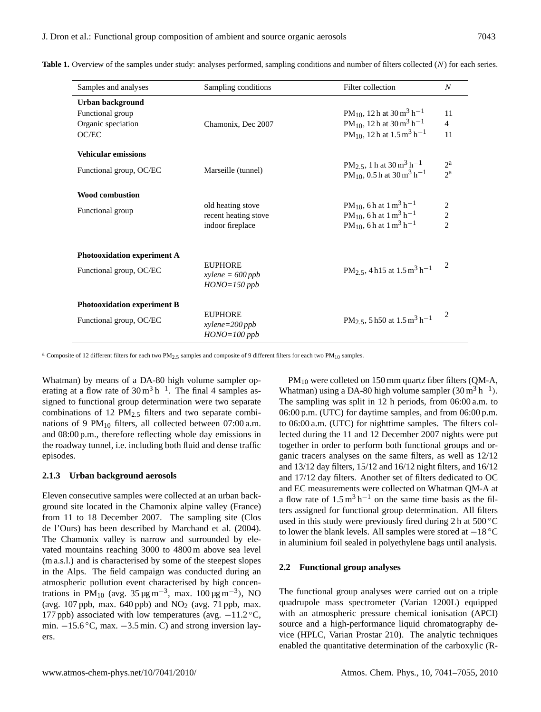|  |  |  |  |  |  |  |  |  |  |  |  |  | Table 1. Overview of the samples under study: analyses performed, sampling conditions and number of filters collected $(N)$ for each series. |  |
|--|--|--|--|--|--|--|--|--|--|--|--|--|----------------------------------------------------------------------------------------------------------------------------------------------|--|
|--|--|--|--|--|--|--|--|--|--|--|--|--|----------------------------------------------------------------------------------------------------------------------------------------------|--|

|                                    |                                          | Filter collection                                                                                                    | $\boldsymbol{N}$                 |
|------------------------------------|------------------------------------------|----------------------------------------------------------------------------------------------------------------------|----------------------------------|
| Samples and analyses               | Sampling conditions                      |                                                                                                                      |                                  |
| Urban background                   |                                          |                                                                                                                      |                                  |
| Functional group                   |                                          | PM <sub>10</sub> , 12 h at $30 \text{ m}^3 \text{ h}^{-1}$                                                           | 11                               |
| Organic speciation                 | Chamonix, Dec 2007                       | $PM_{10}$ , 12 h at 30 m <sup>3</sup> h <sup>-1</sup>                                                                | $\overline{4}$                   |
| OC/EC                              |                                          | PM <sub>10</sub> , 12 h at $1.5 \text{ m}^3 \text{ h}^{-1}$                                                          | 11                               |
| <b>Vehicular emissions</b>         |                                          |                                                                                                                      |                                  |
| Functional group, OC/EC            | Marseille (tunnel)                       | PM <sub>2.5</sub> , 1 h at $30 \text{ m}^3 \text{ h}^{-1}$<br>$PM_{10}$ , 0.5 h at 30 m <sup>3</sup> h <sup>-1</sup> | $2^{\alpha}$<br>$2^a$            |
|                                    |                                          |                                                                                                                      |                                  |
| <b>Wood combustion</b>             |                                          |                                                                                                                      |                                  |
| Functional group                   | old heating stove                        | $PM_{10}$ , 6 h at 1 m <sup>3</sup> h <sup>-1</sup>                                                                  | 2                                |
|                                    | recent heating stove<br>indoor fireplace | $PM_{10}$ , 6 h at 1 m <sup>3</sup> h <sup>-1</sup><br>$PM_{10}$ , 6 h at 1 m <sup>3</sup> h <sup>-1</sup>           | $\overline{c}$<br>$\overline{2}$ |
|                                    |                                          |                                                                                                                      |                                  |
| <b>Photooxidation experiment A</b> |                                          |                                                                                                                      |                                  |
| Functional group, OC/EC            | <b>EUPHORE</b>                           | $PM_{2.5}$ , 4 h15 at 1.5 m <sup>3</sup> h <sup>-1</sup>                                                             | 2                                |
|                                    | $x$ ylene = 600 ppb<br>$HONO = 150$ ppb  |                                                                                                                      |                                  |
|                                    |                                          |                                                                                                                      |                                  |
| <b>Photooxidation experiment B</b> |                                          |                                                                                                                      |                                  |
| Functional group, OC/EC            | <b>EUPHORE</b>                           | PM <sub>2.5</sub> , 5 h50 at 1.5 m <sup>3</sup> h <sup>-1</sup>                                                      | 2                                |
|                                    | $x$ vlene=200 ppb                        |                                                                                                                      |                                  |
|                                    | $HONO = 100$ ppb                         |                                                                                                                      |                                  |

<sup>a</sup> Composite of 12 different filters for each two  $PM_{2,5}$  samples and composite of 9 different filters for each two  $PM_{10}$  samples.

Whatman) by means of a DA-80 high volume sampler operating at a flow rate of  $30 \text{ m}^3 \text{ h}^{-1}$ . The final 4 samples assigned to functional group determination were two separate combinations of 12  $PM_{2.5}$  filters and two separate combinations of 9  $PM_{10}$  filters, all collected between 07:00 a.m. and 08:00 p.m., therefore reflecting whole day emissions in the roadway tunnel, i.e. including both fluid and dense traffic episodes.

#### **2.1.3 Urban background aerosols**

Eleven consecutive samples were collected at an urban background site located in the Chamonix alpine valley (France) from 11 to 18 December 2007. The sampling site (Clos de l'Ours) has been described by Marchand et al. (2004). The Chamonix valley is narrow and surrounded by elevated mountains reaching 3000 to 4800 m above sea level (m a.s.l.) and is characterised by some of the steepest slopes in the Alps. The field campaign was conducted during an atmospheric pollution event characterised by high concentrations in PM<sub>10</sub> (avg. 35 µg m<sup>-3</sup>, max. 100 µg m<sup>-3</sup>), NO (avg. 107 ppb, max.  $640$  ppb) and  $NO<sub>2</sub>$  (avg. 71 ppb, max. 177 ppb) associated with low temperatures (avg. −11.2 ◦C, min.  $-15.6$  °C, max.  $-3.5$  min. C) and strong inversion layers.

PM<sub>10</sub> were colleted on 150 mm quartz fiber filters (QM-A, Whatman) using a DA-80 high volume sampler  $(30 \text{ m}^3 \text{ h}^{-1})$ . The sampling was split in 12 h periods, from 06:00 a.m. to 06:00 p.m. (UTC) for daytime samples, and from 06:00 p.m. to 06:00 a.m. (UTC) for nighttime samples. The filters collected during the 11 and 12 December 2007 nights were put together in order to perform both functional groups and organic tracers analyses on the same filters, as well as 12/12 and 13/12 day filters, 15/12 and 16/12 night filters, and 16/12 and 17/12 day filters. Another set of filters dedicated to OC and EC measurements were collected on Whatman QM-A at a flow rate of  $1.5 \text{ m}^3 \text{ h}^{-1}$  on the same time basis as the filters assigned for functional group determination. All filters used in this study were previously fired during 2 h at  $500 °C$ to lower the blank levels. All samples were stored at −18 ◦C in aluminium foil sealed in polyethylene bags until analysis.

## **2.2 Functional group analyses**

The functional group analyses were carried out on a triple quadrupole mass spectrometer (Varian 1200L) equipped with an atmospheric pressure chemical ionisation (APCI) source and a high-performance liquid chromatography device (HPLC, Varian Prostar 210). The analytic techniques enabled the quantitative determination of the carboxylic (R-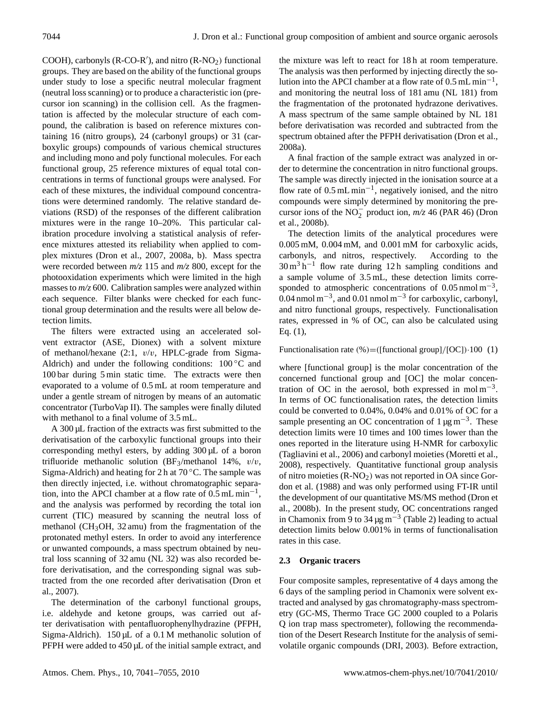COOH), carbonyls  $(R\text{-}CO\text{-}R')$ , and nitro  $(R\text{-}NO_2)$  functional groups. They are based on the ability of the functional groups under study to lose a specific neutral molecular fragment (neutral loss scanning) or to produce a characteristic ion (precursor ion scanning) in the collision cell. As the fragmentation is affected by the molecular structure of each compound, the calibration is based on reference mixtures containing 16 (nitro groups), 24 (carbonyl groups) or 31 (carboxylic groups) compounds of various chemical structures and including mono and poly functional molecules. For each functional group, 25 reference mixtures of equal total concentrations in terms of functional groups were analysed. For each of these mixtures, the individual compound concentrations were determined randomly. The relative standard deviations (RSD) of the responses of the different calibration mixtures were in the range 10–20%. This particular calibration procedure involving a statistical analysis of reference mixtures attested its reliability when applied to complex mixtures (Dron et al., 2007, 2008a, b). Mass spectra were recorded between *m/z* 115 and *m/z* 800, except for the photooxidation experiments which were limited in the high masses to *m/z* 600. Calibration samples were analyzed within each sequence. Filter blanks were checked for each functional group determination and the results were all below detection limits.

The filters were extracted using an accelerated solvent extractor (ASE, Dionex) with a solvent mixture of methanol/hexane (2:1,  $v/v$ , HPLC-grade from Sigma-Aldrich) and under the following conditions:  $100\degree C$  and 100 bar during 5 min static time. The extracts were then evaporated to a volume of 0.5 mL at room temperature and under a gentle stream of nitrogen by means of an automatic concentrator (TurboVap II). The samples were finally diluted with methanol to a final volume of 3.5 mL.

A 300 µL fraction of the extracts was first submitted to the derivatisation of the carboxylic functional groups into their corresponding methyl esters, by adding 300 µL of a boron trifluoride methanolic solution (BF<sub>3</sub>/methanol 14%,  $v/v$ , Sigma-Aldrich) and heating for 2 h at  $70^{\circ}$ C. The sample was then directly injected, i.e. without chromatographic separation, into the APCI chamber at a flow rate of  $0.5$  mL min<sup>-1</sup>, and the analysis was performed by recording the total ion current (TIC) measured by scanning the neutral loss of methanol ( $CH<sub>3</sub>OH$ , 32 amu) from the fragmentation of the protonated methyl esters. In order to avoid any interference or unwanted compounds, a mass spectrum obtained by neutral loss scanning of 32 amu (NL 32) was also recorded before derivatisation, and the corresponding signal was subtracted from the one recorded after derivatisation (Dron et al., 2007).

The determination of the carbonyl functional groups, i.e. aldehyde and ketone groups, was carried out after derivatisation with pentafluorophenylhydrazine (PFPH, Sigma-Aldrich).  $150 \mu L$  of a 0.1 M methanolic solution of PFPH were added to 450 µL of the initial sample extract, and the mixture was left to react for 18 h at room temperature. The analysis was then performed by injecting directly the solution into the APCI chamber at a flow rate of  $0.5$  mL min<sup>-1</sup>, and monitoring the neutral loss of 181 amu (NL 181) from the fragmentation of the protonated hydrazone derivatives. A mass spectrum of the same sample obtained by NL 181 before derivatisation was recorded and subtracted from the spectrum obtained after the PFPH derivatisation (Dron et al., 2008a).

A final fraction of the sample extract was analyzed in order to determine the concentration in nitro functional groups. The sample was directly injected in the ionisation source at a flow rate of  $0.5$  mL min<sup>-1</sup>, negatively ionised, and the nitro compounds were simply determined by monitoring the precursor ions of the NO<sub>2</sub><sup>-</sup> product ion,  $m/z$  46 (PAR 46) (Dron et al., 2008b).

The detection limits of the analytical procedures were 0.005 mM, 0.004 mM, and 0.001 mM for carboxylic acids, carbonyls, and nitros, respectively. According to the  $30 \text{ m}^3 \text{ h}^{-1}$  flow rate during 12 h sampling conditions and a sample volume of 3.5 mL, these detection limits corresponded to atmospheric concentrations of 0.05 nmol m<sup>-3</sup>, 0.04 nmol m<sup>-3</sup>, and 0.01 nmol m<sup>-3</sup> for carboxylic, carbonyl, and nitro functional groups, respectively. Functionalisation rates, expressed in % of OC, can also be calculated using Eq. (1),

#### Functionalisation rate  $%$  = ([functional group]/[OC]) $\cdot$ 100 (1)

where [functional group] is the molar concentration of the concerned functional group and [OC] the molar concentration of OC in the aerosol, both expressed in mol  $m^{-3}$ . In terms of OC functionalisation rates, the detection limits could be converted to 0.04%, 0.04% and 0.01% of OC for a sample presenting an OC concentration of  $1 \mu g m^{-3}$ . These detection limits were 10 times and 100 times lower than the ones reported in the literature using H-NMR for carboxylic (Tagliavini et al., 2006) and carbonyl moieties (Moretti et al., 2008), respectively. Quantitative functional group analysis of nitro moieties  $(R-NO<sub>2</sub>)$  was not reported in OA since Gordon et al. (1988) and was only performed using FT-IR until the development of our quantitative MS/MS method (Dron et al., 2008b). In the present study, OC concentrations ranged in Chamonix from 9 to 34  $\mu$ g m<sup>-3</sup> (Table 2) leading to actual detection limits below 0.001% in terms of functionalisation rates in this case.

#### **2.3 Organic tracers**

Four composite samples, representative of 4 days among the 6 days of the sampling period in Chamonix were solvent extracted and analysed by gas chromatography-mass spectrometry (GC-MS, Thermo Trace GC 2000 coupled to a Polaris Q ion trap mass spectrometer), following the recommendation of the Desert Research Institute for the analysis of semivolatile organic compounds (DRI, 2003). Before extraction,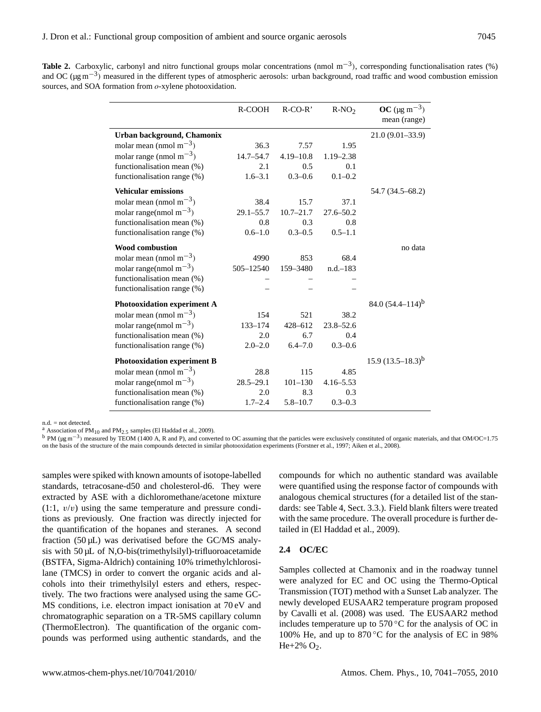Table 2. Carboxylic, carbonyl and nitro functional groups molar concentrations (nmol m<sup>-3</sup>), corresponding functionalisation rates (%) and OC (µg m<sup>-3</sup>) measured in the different types of atmospheric aerosols: urban background, road traffic and wood combustion emission sources, and SOA formation from  $o$ -xylene photooxidation.

|                                                  | R-COOH        | $R$ -CO- $R$  | $R-NO2$       | $OC ( \mu g m^{-3})$<br>mean (range) |
|--------------------------------------------------|---------------|---------------|---------------|--------------------------------------|
| Urban background, Chamonix                       |               |               |               | $21.0(9.01-33.9)$                    |
| molar mean (nmol m <sup><math>-3</math></sup> )  | 36.3          | 7.57          | 1.95          |                                      |
| molar range (nmol m <sup><math>-3</math></sup> ) | $14.7 - 54.7$ | $4.19 - 10.8$ | $1.19 - 2.38$ |                                      |
| functionalisation mean (%)                       | 2.1           | 0.5           | 0.1           |                                      |
| functionalisation range (%)                      | $1.6 - 3.1$   | $0.3 - 0.6$   | $0.1 - 0.2$   |                                      |
| <b>Vehicular emissions</b>                       |               |               |               | 54.7 (34.5–68.2)                     |
| molar mean (nmol m <sup><math>-3</math></sup> )  | 38.4          | 15.7          | 37.1          |                                      |
| molar range(nmol m <sup><math>-3</math></sup> )  | $29.1 - 55.7$ | $10.7 - 21.7$ | $27.6 - 50.2$ |                                      |
| functionalisation mean (%)                       | 0.8           | 0.3           | 0.8           |                                      |
| functionalisation range (%)                      | $0.6 - 1.0$   | $0.3 - 0.5$   | $0.5 - 1.1$   |                                      |
| <b>Wood combustion</b>                           |               |               |               | no data                              |
| molar mean (nmol m <sup><math>-3</math></sup> )  | 4990          | 853           | 68.4          |                                      |
| molar range(nmol m <sup><math>-3</math></sup> )  | 505-12540     | 159-3480      | $n.d.-183$    |                                      |
| functionalisation mean (%)                       |               |               |               |                                      |
| functionalisation range (%)                      |               |               |               |                                      |
| Photooxidation experiment A                      |               |               |               | 84.0 $(54.4 - 114)^b$                |
| molar mean (nmol m <sup><math>-3</math></sup> )  | 154           | 521           | 38.2          |                                      |
| molar range(nmol m <sup><math>-3</math></sup> )  | 133-174       | 428-612       | $23.8 - 52.6$ |                                      |
| functionalisation mean (%)                       | 2.0           | 6.7           | 0.4           |                                      |
| functionalisation range (%)                      | $2.0 - 2.0$   | $6.4 - 7.0$   | $0.3 - 0.6$   |                                      |
| <b>Photooxidation experiment B</b>               |               |               |               | $15.9(13.5-18.3)^{b}$                |
| molar mean (nmol $m^{-3}$ )                      | 28.8          | 115           | 4.85          |                                      |
| molar range(nmol m <sup><math>-3</math></sup> )  | $28.5 - 29.1$ | $101 - 130$   | $4.16 - 5.53$ |                                      |
| functionalisation mean (%)                       | 2.0           | 8.3           | 0.3           |                                      |
| functionalisation range (%)                      | $1.7 - 2.4$   | $5.8 - 10.7$  | $0.3 - 0.3$   |                                      |

 $n.d. = not detected.$ 

<sup>a</sup> Association of  $PM_{10}$  and  $PM_{2.5}$  samples (El Haddad et al., 2009).

b PM (µg m<sup>-3</sup>) measured by TEOM (1400 A, R and P), and converted to OC assuming that the particles were exclusively constituted of organic materials, and that OM/OC=1.75 on the basis of the structure of the main compounds detected in similar photooxidation experiments (Forstner et al., 1997; Aiken et al., 2008).

samples were spiked with known amounts of isotope-labelled standards, tetracosane-d50 and cholesterol-d6. They were extracted by ASE with a dichloromethane/acetone mixture  $(1:1, v/v)$  using the same temperature and pressure conditions as previously. One fraction was directly injected for the quantification of the hopanes and steranes. A second fraction  $(50 \mu L)$  was derivatised before the GC/MS analysis with 50 µL of N,O-bis(trimethylsilyl)-trifluoroacetamide (BSTFA, Sigma-Aldrich) containing 10% trimethylchlorosilane (TMCS) in order to convert the organic acids and alcohols into their trimethylsilyl esters and ethers, respectively. The two fractions were analysed using the same GC-MS conditions, i.e. electron impact ionisation at 70 eV and chromatographic separation on a TR-5MS capillary column (ThermoElectron). The quantification of the organic compounds was performed using authentic standards, and the compounds for which no authentic standard was available were quantified using the response factor of compounds with analogous chemical structures (for a detailed list of the standards: see Table 4, Sect. 3.3.). Field blank filters were treated with the same procedure. The overall procedure is further detailed in (El Haddad et al., 2009).

#### **2.4 OC/EC**

Samples collected at Chamonix and in the roadway tunnel were analyzed for EC and OC using the Thermo-Optical Transmission (TOT) method with a Sunset Lab analyzer. The newly developed EUSAAR2 temperature program proposed by Cavalli et al. (2008) was used. The EUSAAR2 method includes temperature up to  $570^{\circ}$ C for the analysis of OC in 100% He, and up to  $870^{\circ}$ C for the analysis of EC in 98%  $He+2\%$  O<sub>2</sub>.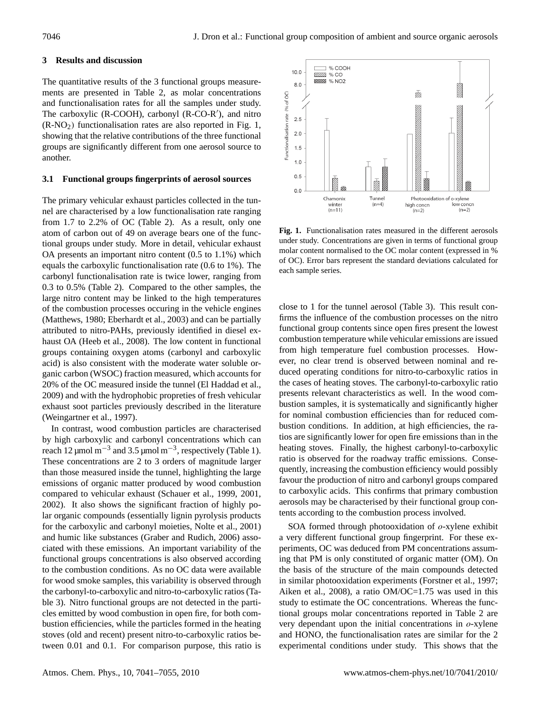## **3 Results and discussion**

The quantitative results of the 3 functional groups measurements are presented in Table 2, as molar concentrations and functionalisation rates for all the samples under study. The carboxylic (R-COOH), carbonyl (R-CO-R'), and nitro (R-NO2) functionalisation rates are also reported in Fig. 1, showing that the relative contributions of the three functional groups are significantly different from one aerosol source to another.

#### **3.1 Functional groups fingerprints of aerosol sources**

The primary vehicular exhaust particles collected in the tunnel are characterised by a low functionalisation rate ranging from 1.7 to 2.2% of OC (Table 2). As a result, only one atom of carbon out of 49 on average bears one of the functional groups under study. More in detail, vehicular exhaust OA presents an important nitro content (0.5 to 1.1%) which equals the carboxylic functionalisation rate (0.6 to 1%). The carbonyl functionalisation rate is twice lower, ranging from 0.3 to 0.5% (Table 2). Compared to the other samples, the large nitro content may be linked to the high temperatures of the combustion processes occuring in the vehicle engines (Matthews, 1980; Eberhardt et al., 2003) and can be partially attributed to nitro-PAHs, previously identified in diesel exhaust OA (Heeb et al., 2008). The low content in functional groups containing oxygen atoms (carbonyl and carboxylic acid) is also consistent with the moderate water soluble organic carbon (WSOC) fraction measured, which accounts for 20% of the OC measured inside the tunnel (El Haddad et al., 2009) and with the hydrophobic propreties of fresh vehicular exhaust soot particles previously described in the literature (Weingartner et al., 1997).

In contrast, wood combustion particles are characterised by high carboxylic and carbonyl concentrations which can reach 12  $\mu$ mol m<sup>-3</sup> and 3.5  $\mu$ mol m<sup>-3</sup>, respectively (Table 1). These concentrations are 2 to 3 orders of magnitude larger than those measured inside the tunnel, highlighting the large emissions of organic matter produced by wood combustion compared to vehicular exhaust (Schauer et al., 1999, 2001, 2002). It also shows the significant fraction of highly polar organic compounds (essentially lignin pyrolysis products for the carboxylic and carbonyl moieties, Nolte et al., 2001) and humic like substances (Graber and Rudich, 2006) associated with these emissions. An important variability of the functional groups concentrations is also observed according to the combustion conditions. As no OC data were available for wood smoke samples, this variability is observed through the carbonyl-to-carboxylic and nitro-to-carboxylic ratios (Table 3). Nitro functional groups are not detected in the particles emitted by wood combustion in open fire, for both combustion efficiencies, while the particles formed in the heating stoves (old and recent) present nitro-to-carboxylic ratios between 0.01 and 0.1. For comparison purpose, this ratio is



under study. Concentrations are given in terms of functional group molar content normalised to the OC molar content (expressed in  $%$ of OC). Error bars represent the standard deviations calculated for each sample series. **Fig. 1.** Functionalisation rates measured in the different aerosols

close to 1 for the tunnel aerosol (Table 3). This result confirms the influence of the combustion processes on the nitro functional group contents since open fires present the lowest combustion temperature while vehicular emissions are issued from high temperature fuel combustion processes. However, no clear trend is observed between nominal and reduced operating conditions for nitro-to-carboxylic ratios in the cases of heating stoves. The carbonyl-to-carboxylic ratio presents relevant characteristics as well. In the wood combustion samples, it is systematically and significantly higher for nominal combustion efficiencies than for reduced combustion conditions. In addition, at high efficiencies, the ratios are significantly lower for open fire emissions than in the heating stoves. Finally, the highest carbonyl-to-carboxylic ratio is observed for the roadway traffic emissions. Consequently, increasing the combustion efficiency would possibly favour the production of nitro and carbonyl groups compared to carboxylic acids. This confirms that primary combustion aerosols may be characterised by their functional group contents according to the combustion process involved.

SOA formed through photooxidation of  $o$ -xylene exhibit a very different functional group fingerprint. For these experiments, OC was deduced from PM concentrations assuming that PM is only constituted of organic matter (OM). On the basis of the structure of the main compounds detected in similar photooxidation experiments (Forstner et al., 1997; Aiken et al., 2008), a ratio OM/OC=1.75 was used in this study to estimate the OC concentrations. Whereas the functional groups molar concentrations reported in Table 2 are very dependant upon the initial concentrations in  $o$ -xylene and HONO, the functionalisation rates are similar for the 2 experimental conditions under study. This shows that the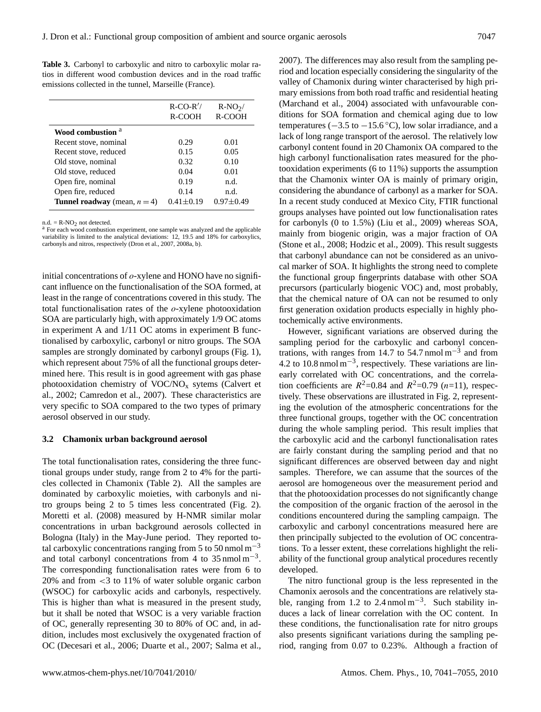**Table 3.** Carbonyl to carboxylic and nitro to carboxylic molar ratios in different wood combustion devices and in the road traffic emissions collected in the tunnel, Marseille (France).

|                                        | $R$ -CO- $R'/$<br>R-COOH | $R-NO2$<br>R-COOH |
|----------------------------------------|--------------------------|-------------------|
| Wood combustion <sup>a</sup>           |                          |                   |
| Recent stove, nominal                  | 0.29                     | 0.01              |
| Recent stove, reduced                  | 0.15                     | 0.05              |
| Old stove, nominal                     | 0.32                     | 0.10              |
| Old stove, reduced                     | 0.04                     | 0.01              |
| Open fire, nominal                     | 0.19                     | n.d.              |
| Open fire, reduced                     | 0.14                     | n.d.              |
| <b>Tunnel roadway</b> (mean, $n = 4$ ) | $0.41 + 0.19$            | $0.97 + 0.49$     |
|                                        |                          |                   |

 $n.d. = R-NO<sub>2</sub>$  not detected.

<sup>a</sup> For each wood combustion experiment, one sample was analyzed and the applicable variability is limited to the analytical deviations: 12, 19.5 and 18% for carboxylics, carbonyls and nitros, respectively (Dron et al., 2007, 2008a, b).

initial concentrations of  $o$ -xylene and HONO have no significant influence on the functionalisation of the SOA formed, at least in the range of concentrations covered in this study. The total functionalisation rates of the  $o$ -xylene photooxidation SOA are particularly high, with approximately 1/9 OC atoms in experiment A and 1/11 OC atoms in experiment B functionalised by carboxylic, carbonyl or nitro groups. The SOA samples are strongly dominated by carbonyl groups (Fig. 1), which represent about 75% of all the functional groups determined here. This result is in good agreement with gas phase photooxidation chemistry of  $VOC/NO<sub>x</sub>$  sytems (Calvert et al., 2002; Camredon et al., 2007). These characteristics are very specific to SOA compared to the two types of primary aerosol observed in our study.

#### **3.2 Chamonix urban background aerosol**

The total functionalisation rates, considering the three functional groups under study, range from 2 to 4% for the particles collected in Chamonix (Table 2). All the samples are dominated by carboxylic moieties, with carbonyls and nitro groups being 2 to 5 times less concentrated (Fig. 2). Moretti et al. (2008) measured by H-NMR similar molar concentrations in urban background aerosols collected in Bologna (Italy) in the May-June period. They reported total carboxylic concentrations ranging from 5 to 50 nmol  $m^{-3}$ and total carbonyl concentrations from 4 to  $35$  nmol m<sup>-3</sup>. The corresponding functionalisation rates were from 6 to 20% and from <3 to 11% of water soluble organic carbon (WSOC) for carboxylic acids and carbonyls, respectively. This is higher than what is measured in the present study, but it shall be noted that WSOC is a very variable fraction of OC, generally representing 30 to 80% of OC and, in addition, includes most exclusively the oxygenated fraction of OC (Decesari et al., 2006; Duarte et al., 2007; Salma et al., 2007). The differences may also result from the sampling period and location especially considering the singularity of the valley of Chamonix during winter characterised by high primary emissions from both road traffic and residential heating (Marchand et al., 2004) associated with unfavourable conditions for SOA formation and chemical aging due to low temperatures ( $-3.5$  to  $-15.6$  °C), low solar irradiance, and a lack of long range transport of the aerosol. The relatively low carbonyl content found in 20 Chamonix OA compared to the high carbonyl functionalisation rates measured for the photooxidation experiments (6 to 11%) supports the assumption that the Chamonix winter OA is mainly of primary origin, considering the abundance of carbonyl as a marker for SOA. In a recent study conduced at Mexico City, FTIR functional groups analyses have pointed out low functionalisation rates for carbonyls (0 to 1.5%) (Liu et al., 2009) whereas SOA, mainly from biogenic origin, was a major fraction of OA (Stone et al., 2008; Hodzic et al., 2009). This result suggests that carbonyl abundance can not be considered as an univocal marker of SOA. It highlights the strong need to complete the functional group fingerprints database with other SOA precursors (particularly biogenic VOC) and, most probably, that the chemical nature of OA can not be resumed to only first generation oxidation products especially in highly photochemically active environments.

However, significant variations are observed during the sampling period for the carboxylic and carbonyl concentrations, with ranges from 14.7 to 54.7 nmol  $m^{-3}$  and from 4.2 to 10.8 nmol  $m^{-3}$ , respectively. These variations are linearly correlated with OC concentrations, and the correlation coefficients are  $R^2=0.84$  and  $R^2=0.79$  (n=11), respectively. These observations are illustrated in Fig. 2, representing the evolution of the atmospheric concentrations for the three functional groups, together with the OC concentration during the whole sampling period. This result implies that the carboxylic acid and the carbonyl functionalisation rates are fairly constant during the sampling period and that no significant differences are observed between day and night samples. Therefore, we can assume that the sources of the aerosol are homogeneous over the measurement period and that the photooxidation processes do not significantly change the composition of the organic fraction of the aerosol in the conditions encountered during the sampling campaign. The carboxylic and carbonyl concentrations measured here are then principally subjected to the evolution of OC concentrations. To a lesser extent, these correlations highlight the reliability of the functional group analytical procedures recently developed.

The nitro functional group is the less represented in the Chamonix aerosols and the concentrations are relatively stable, ranging from 1.2 to 2.4 nmol m<sup>-3</sup>. Such stability induces a lack of linear correlation with the OC content. In these conditions, the functionalisation rate for nitro groups also presents significant variations during the sampling period, ranging from 0.07 to 0.23%. Although a fraction of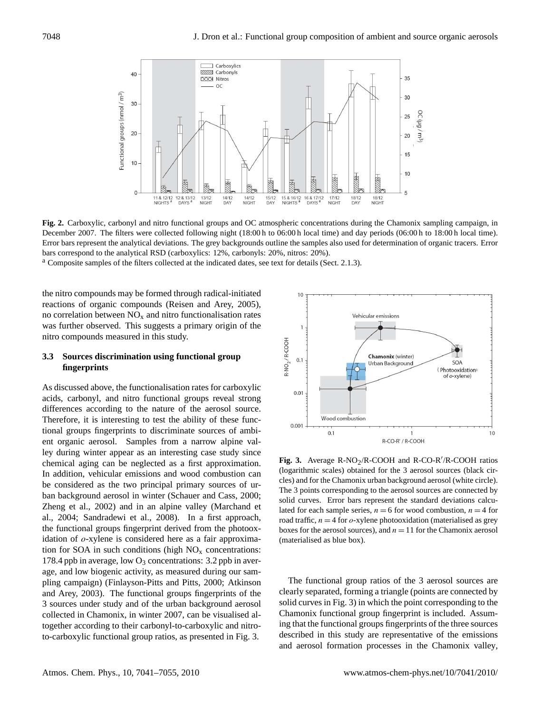

bars correspond to the analytical RSD (carboxylics: 12%, carbonyls: 20%, nitros: 20%). **Fig. 2.** Carboxylic, carbonyl and nitro functional groups and OC atmospheric concentrations during the Chamonix sampling campaign, in December 2007. The filters were collected following night (18:00 h to 06:00 h local time) and day periods (06:00 h to 18:00 h local time). Error bars represent the analytical deviations. The grey backgrounds outline the samples also used for determination of organic tracers. Error

 $\alpha$  Composite samples of the filters collected at the indicated dates, see text for details (Sect. 2.1.3).

the nitro compounds may be formed through radical-initiated  $\frac{1}{2}$  is  $\frac{1}{2}$ reactions of organic compounds (Reisen and Arey, 2005), was further observed. This suggests a primary origin of the nitro compounds measured in this study. no correlation between  $NO<sub>x</sub>$  and nitro functionalisation rates

#### **3.3 Sources discrimination using functional group fingerprints**

As discussed above, the functionalisation rates for carboxylic acids, carbonyl, and nitro functional groups reveal strong differences according to the nature of the aerosol source. Therefore, it is interesting to test the ability of these functional groups fingerprints to discriminate sources of ambient organic aerosol. Samples from a narrow alpine valley during winter appear as an interesting case study since chemical aging can be neglected as a first approximation. In addition, vehicular emissions and wood combustion can be considered as the two principal primary sources of urban background aerosol in winter (Schauer and Cass, 2000; Zheng et al., 2002) and in an alpine valley (Marchand et al., 2004; Sandradewi et al., 2008). In a first approach, the functional groups fingerprint derived from the photooxidation of  $o$ -xylene is considered here as a fair approximation for SOA in such conditions (high  $NO<sub>x</sub>$  concentrations: 178.4 ppb in average, low  $O_3$  concentrations: 3.2 ppb in average, and low biogenic activity, as measured during our sampling campaign) (Finlayson-Pitts and Pitts, 2000; Atkinson and Arey, 2003). The functional groups fingerprints of the 3 sources under study and of the urban background aerosol collected in Chamonix, in winter 2007, can be visualised altogether according to their carbonyl-to-carboxylic and nitroto-carboxylic functional group ratios, as presented in Fig. 3.



road traffic,  $n = 4$  for  $o$ -xylene photooxidation (materialised as grey cles) and for the Chamonix urban background aerosol (white circle). The 3 points corresponding to the aerosol sources are connected by solid curves. Error bars represent the standard deviations calculated for each sample series,  $n = 6$  for wood combustion,  $n = 4$  for boxes for the aerosol sources), and  $n = 11$  for the Chamonix aerosol (materialised as blue box). (materialised as blue box). Fig. 3. Average R-NO<sub>2</sub>/R-COOH and R-CO-R<sup>'</sup>/R-COOH ratios (logarithmic scales) obtained for the 3 aerosol sources (black cir-

ing that the functional groups fingerprints of the three sources The functional group ratios of the 3 aerosol sources are clearly separated, forming a triangle (points are connected by solid curves in Fig. 3) in which the point corresponding to the Chamonix functional group fingerprint is included. Assumdescribed in this study are representative of the emissions and aerosol formation processes in the Chamonix valley,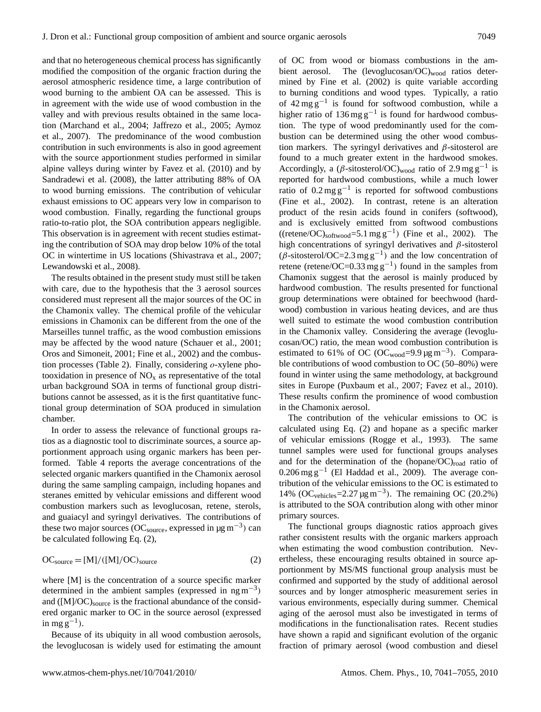and that no heterogeneous chemical process has significantly modified the composition of the organic fraction during the aerosol atmospheric residence time, a large contribution of wood burning to the ambient OA can be assessed. This is in agreement with the wide use of wood combustion in the valley and with previous results obtained in the same location (Marchand et al., 2004; Jaffrezo et al., 2005; Aymoz et al., 2007). The predominance of the wood combustion contribution in such environments is also in good agreement with the source apportionment studies performed in similar alpine valleys during winter by Favez et al. (2010) and by Sandradewi et al. (2008), the latter attributing 88% of OA to wood burning emissions. The contribution of vehicular exhaust emissions to OC appears very low in comparison to wood combustion. Finally, regarding the functional groups ratio-to-ratio plot, the SOA contribution appears negligible. This observation is in agreement with recent studies estimating the contribution of SOA may drop below 10% of the total OC in wintertime in US locations (Shivastrava et al., 2007; Lewandowski et al., 2008).

The results obtained in the present study must still be taken with care, due to the hypothesis that the 3 aerosol sources considered must represent all the major sources of the OC in the Chamonix valley. The chemical profile of the vehicular emissions in Chamonix can be different from the one of the Marseilles tunnel traffic, as the wood combustion emissions may be affected by the wood nature (Schauer et al., 2001; Oros and Simoneit, 2001; Fine et al., 2002) and the combustion processes (Table 2). Finally, considering  $o$ -xylene photooxidation in presence of  $NO<sub>x</sub>$  as representative of the total urban background SOA in terms of functional group distributions cannot be assessed, as it is the first quantitative functional group determination of SOA produced in simulation chamber.

In order to assess the relevance of functional groups ratios as a diagnostic tool to discriminate sources, a source apportionment approach using organic markers has been performed. Table 4 reports the average concentrations of the selected organic markers quantified in the Chamonix aerosol during the same sampling campaign, including hopanes and steranes emitted by vehicular emissions and different wood combustion markers such as levoglucosan, retene, sterols, and guaiacyl and syringyl derivatives. The contributions of these two major sources (OC<sub>source</sub>, expressed in  $\mu$ g m<sup>-3</sup>) can be calculated following Eq. (2),

$$
OC_{source} = [M]/([M]/OC)_{source}
$$
 (2)

where [M] is the concentration of a source specific marker determined in the ambient samples (expressed in  $ng\,m^{-3}$ ) and  $([M]/OC)_{\text{source}}$  is the fractional abundance of the considered organic marker to OC in the source aerosol (expressed in mg  $g^{-1}$ ).

Because of its ubiquity in all wood combustion aerosols, the levoglucosan is widely used for estimating the amount of OC from wood or biomass combustions in the ambient aerosol. The  $(levoglucosan/OC)_{wood}$  ratios determined by Fine et al. (2002) is quite variable according to burning conditions and wood types. Typically, a ratio of  $42 \text{ mg g}^{-1}$  is found for softwood combustion, while a higher ratio of  $136 \text{ mg g}^{-1}$  is found for hardwood combustion. The type of wood predominantly used for the combustion can be determined using the other wood combustion markers. The syringyl derivatives and  $\beta$ -sitosterol are found to a much greater extent in the hardwood smokes. Accordingly, a ( $\beta$ -sitosterol/OC)<sub>wood</sub> ratio of 2.9 mg g<sup>-1</sup> is reported for hardwood combustions, while a much lower ratio of  $0.2 \text{ mg g}^{-1}$  is reported for softwood combustions (Fine et al., 2002). In contrast, retene is an alteration product of the resin acids found in conifers (softwood), and is exclusively emitted from softwood combustions ((retene/OC)<sub>softwood</sub>=5.1 mg g<sup>-1</sup>) (Fine et al., 2002). The high concentrations of syringyl derivatives and  $\beta$ -sitosterol  $(\beta$ -sitosterol/OC=2.3 mg g<sup>-1</sup>) and the low concentration of retene (retene/OC= $0.33$  mg g<sup>-1</sup>) found in the samples from Chamonix suggest that the aerosol is mainly produced by hardwood combustion. The results presented for functional group determinations were obtained for beechwood (hardwood) combustion in various heating devices, and are thus well suited to estimate the wood combustion contribution in the Chamonix valley. Considering the average (levoglucosan/OC) ratio, the mean wood combustion contribution is estimated to 61% of OC (OC<sub>wood</sub>=9.9 µg m<sup>-3</sup>). Comparable contributions of wood combustion to OC (50–80%) were found in winter using the same methodology, at background sites in Europe (Puxbaum et al., 2007; Favez et al., 2010). These results confirm the prominence of wood combustion in the Chamonix aerosol.

The contribution of the vehicular emissions to OC is calculated using Eq. (2) and hopane as a specific marker of vehicular emissions (Rogge et al., 1993). The same tunnel samples were used for functional groups analyses and for the determination of the (hopane/ $OC$ )<sub>road</sub> ratio of 0.206 mg g−<sup>1</sup> (El Haddad et al., 2009). The average contribution of the vehicular emissions to the OC is estimated to 14% (OC<sub>vehicles</sub>=2.27 μg m<sup>-3</sup>). The remaining OC (20.2%) is attributed to the SOA contribution along with other minor primary sources.

The functional groups diagnostic ratios approach gives rather consistent results with the organic markers approach when estimating the wood combustion contribution. Nevertheless, these encouraging results obtained in source apportionment by MS/MS functional group analysis must be confirmed and supported by the study of additional aerosol sources and by longer atmospheric measurement series in various environments, especially during summer. Chemical aging of the aerosol must also be investigated in terms of modifications in the functionalisation rates. Recent studies have shown a rapid and significant evolution of the organic fraction of primary aerosol (wood combustion and diesel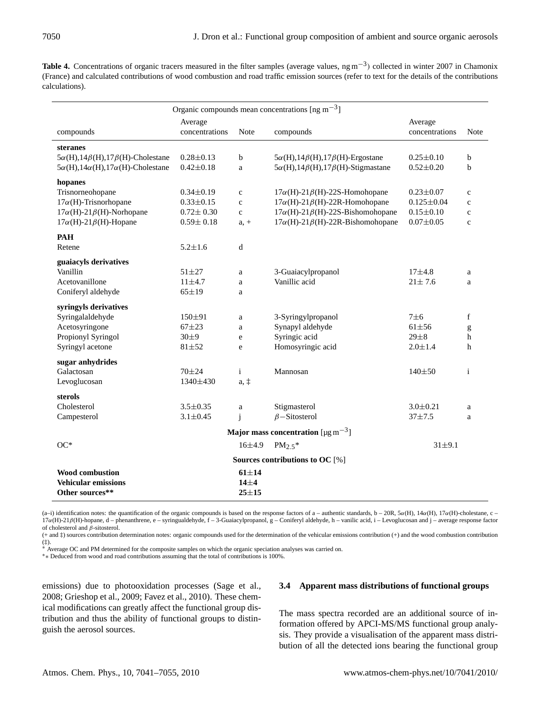**Table 4.** Concentrations of organic tracers measured in the filter samples (average values, ng m−<sup>3</sup> ) collected in winter 2007 in Chamonix (France) and calculated contributions of wood combustion and road traffic emission sources (refer to text for the details of the contributions calculations).

| Organic compounds mean concentrations [ng m <sup><math>-3</math></sup> ] |                 |               |                                                           |                  |              |  |  |  |  |
|--------------------------------------------------------------------------|-----------------|---------------|-----------------------------------------------------------|------------------|--------------|--|--|--|--|
|                                                                          | Average         |               |                                                           | Average          |              |  |  |  |  |
| compounds                                                                | concentrations  | Note          | compounds                                                 | concentrations   | <b>Note</b>  |  |  |  |  |
| steranes                                                                 |                 |               |                                                           |                  |              |  |  |  |  |
| $5\alpha$ (H), 14 $\beta$ (H), 17 $\beta$ (H)-Cholestane                 | $0.28 \pm 0.13$ | $\mathbf b$   | $5\alpha$ (H), 14 $\beta$ (H), 17 $\beta$ (H)-Ergostane   | $0.25 \pm 0.10$  | $\mathbf b$  |  |  |  |  |
| $5\alpha(H), 14\alpha(H), 17\alpha(H)$ -Cholestane                       | $0.42 \pm 0.18$ | a             | $5\alpha$ (H), 14 $\beta$ (H), 17 $\beta$ (H)-Stigmastane | $0.52 \pm 0.20$  | h            |  |  |  |  |
| hopanes                                                                  |                 |               |                                                           |                  |              |  |  |  |  |
| Trisnorneohopane                                                         | $0.34 \pm 0.19$ | $\mathbf c$   | $17\alpha$ (H)-21 $\beta$ (H)-22S-Homohopane              | $0.23 \pm 0.07$  | $\mathbf{c}$ |  |  |  |  |
| $17\alpha$ (H)-Trisnorhopane                                             | $0.33 \pm 0.15$ | $\mathbf{C}$  | $17\alpha$ (H)-21 $\beta$ (H)-22R-Homohopane              | $0.125 \pm 0.04$ | $\mathbf{c}$ |  |  |  |  |
| $17\alpha$ (H)-21 $\beta$ (H)-Norhopane                                  | $0.72 \pm 0.30$ | $\mathbf{C}$  | $17\alpha$ (H)-21 $\beta$ (H)-22S-Bishomohopane           | $0.15 \pm 0.10$  | $\mathbf{c}$ |  |  |  |  |
| $17\alpha$ (H)-21 $\beta$ (H)-Hopane                                     | $0.59 \pm 0.18$ | $a, +$        | $17\alpha$ (H)-21 $\beta$ (H)-22R-Bishomohopane           | $0.07 \pm 0.05$  | $\mathbf{c}$ |  |  |  |  |
| <b>PAH</b>                                                               |                 |               |                                                           |                  |              |  |  |  |  |
| Retene                                                                   | $5.2 \pm 1.6$   | d             |                                                           |                  |              |  |  |  |  |
| guaiacyls derivatives                                                    |                 |               |                                                           |                  |              |  |  |  |  |
| Vanillin                                                                 | $51 + 27$       | a             | 3-Guaiacylpropanol                                        | $17+4.8$         | a            |  |  |  |  |
| Acetovanillone                                                           | $11\pm4.7$      | a             | Vanillic acid                                             | $21 \pm 7.6$     | a            |  |  |  |  |
| Coniferyl aldehyde                                                       | $65 + 19$       | a             |                                                           |                  |              |  |  |  |  |
| syringyls derivatives                                                    |                 |               |                                                           |                  |              |  |  |  |  |
| Syringalaldehyde                                                         | 150±91          | a             | 3-Syringylpropanol                                        | $7\pm6$          | f            |  |  |  |  |
| Acetosyringone                                                           | $67 + 23$       | a             | Synapyl aldehyde                                          | $61 + 56$        | g            |  |  |  |  |
| Propionyl Syringol                                                       | $30\pm9$        | e             | Syringic acid                                             | $29 + 8$         | h            |  |  |  |  |
| Syringyl acetone                                                         | $81 + 52$       | e             | Homosyringic acid                                         | $2.0 \pm 1.4$    | h            |  |  |  |  |
| sugar anhydrides                                                         |                 |               |                                                           |                  |              |  |  |  |  |
| Galactosan                                                               | $70 + 24$       | $\mathbf{i}$  | Mannosan                                                  | $140\pm50$       | $\mathbf{i}$ |  |  |  |  |
| Levoglucosan                                                             | 1340±430        | $a, \ddagger$ |                                                           |                  |              |  |  |  |  |
| sterols                                                                  |                 |               |                                                           |                  |              |  |  |  |  |
| Cholesterol                                                              | $3.5 \pm 0.35$  | $\rm{a}$      | Stigmasterol                                              | $3.0 \pm 0.21$   | a            |  |  |  |  |
| Campesterol                                                              | $3.1 \pm 0.45$  | j             | $\beta$ -Sitosterol                                       | $37 + 7.5$       | a            |  |  |  |  |
|                                                                          |                 |               | Major mass concentration $[\mu g m^{-3}]$                 |                  |              |  |  |  |  |
| $OC*$                                                                    |                 | 16±4.9        | $PM_{2.5}$ *                                              | $31 + 9.1$       |              |  |  |  |  |
| Sources contributions to OC [%]                                          |                 |               |                                                           |                  |              |  |  |  |  |
| <b>Wood combustion</b>                                                   |                 | $61 + 14$     |                                                           |                  |              |  |  |  |  |
| <b>Vehicular emissions</b>                                               |                 | $14\pm4$      |                                                           |                  |              |  |  |  |  |
| Other sources**                                                          |                 | $25 + 15$     |                                                           |                  |              |  |  |  |  |

(a-i) identification notes: the quantification of the organic compounds is based on the response factors of a – authentic standards, b – 20R,  $5\alpha(H)$ ,  $14\alpha(H)$ ,  $17\alpha(H)$ -cholestane, c – 17α(H)-21β(H)-hopane, d – phenanthrene, e – syringualdehyde, f – 3-Guaiacylpropanol, g – Coniferyl aldehyde, h – vanilic acid, i – Levoglucosan and j – average response factor of cholesterol and β-sitosterol.

(+ and ‡) sources contribution determination notes: organic compounds used for the determination of the vehicular emissions contribution (+) and the wood combustion contribution (‡).

<sup>∗</sup> Average OC and PM determined for the composite samples on which the organic speciation analyses was carried on.

<sup>∗</sup>∗ Deduced from wood and road contributions assuming that the total of contributions is 100%.

emissions) due to photooxidation processes (Sage et al., 2008; Grieshop et al., 2009; Favez et al., 2010). These chemical modifications can greatly affect the functional group distribution and thus the ability of functional groups to distinguish the aerosol sources.

## **3.4 Apparent mass distributions of functional groups**

The mass spectra recorded are an additional source of information offered by APCI-MS/MS functional group analysis. They provide a visualisation of the apparent mass distribution of all the detected ions bearing the functional group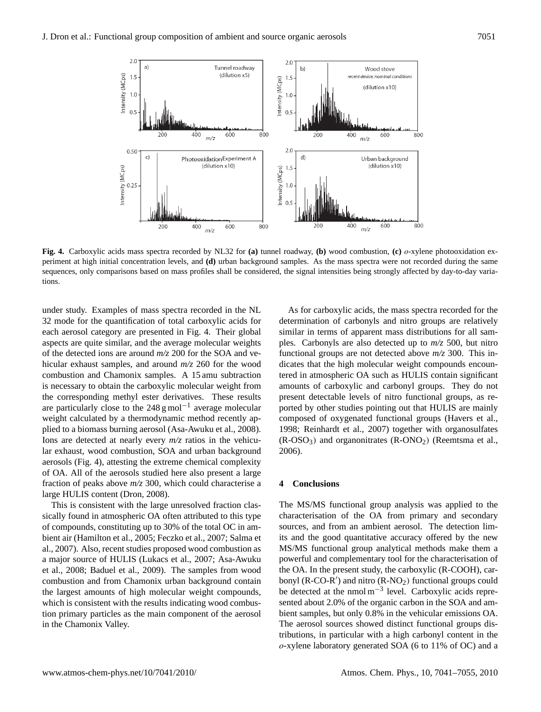

**Fig. 4.** Carboxylic acids mass spectra recorded by NL32 for **(a)** tunnel roadway, **(b)** wood combustion, **(c)** o-xylene photooxidation experiment at high initial concentration levels, and **(d)** urban background samples. As the mass spectra were not recorded during the same sequences, only comparisons based on mass profiles shall be considered, the signal intensities being strongly affected by day-to-day variations.

under study. Examples of mass spectra recorded in the NL As for carboxylic acids, the mass spectra start acrossi category are presented in  $H_2$ .  $\ldots$  Their groom aspects are quite similar, and the average molecular weights 32 mode for the quantification of total carboxylic acids for each aerosol category are presented in Fig. 4. Their global of the detected ions are around *m/z* 200 for the SOA and vehicular exhaust samples, and around *m/z* 260 for the wood combustion and Chamonix samples. A 15 amu subtraction is necessary to obtain the carboxylic molecular weight from the corresponding methyl ester derivatives. These results are particularly close to the 248 g mol−<sup>1</sup> average molecular weight calculated by a thermodynamic method recently applied to a biomass burning aerosol (Asa-Awuku et al., 2008). Ions are detected at nearly every *m/z* ratios in the vehicular exhaust, wood combustion, SOA and urban background aerosols (Fig. 4), attesting the extreme chemical complexity of OA. All of the aerosols studied here also present a large fraction of peaks above *m/z* 300, which could characterise a large HULIS content (Dron, 2008).

This is consistent with the large unresolved fraction classically found in atmospheric OA often attributed to this type of compounds, constituting up to 30% of the total OC in ambient air (Hamilton et al., 2005; Feczko et al., 2007; Salma et al., 2007). Also, recent studies proposed wood combustion as a major source of HULIS (Lukacs et al., 2007; Asa-Awuku et al., 2008; Baduel et al., 2009). The samples from wood combustion and from Chamonix urban background contain the largest amounts of high molecular weight compounds, which is consistent with the results indicating wood combustion primary particles as the main component of the aerosol in the Chamonix Valley.

antification of total carboxylic acids for determination of carbonyls and nitro groups are relatively As for carboxylic acids, the mass spectra recorded for the similar in terms of apparent mass distributions for all samples. Carbonyls are also detected up to *m/z* 500, but nitro functional groups are not detected above *m/z* 300. This indicates that the high molecular weight compounds encountered in atmospheric OA such as HULIS contain significant amounts of carboxylic and carbonyl groups. They do not present detectable levels of nitro functional groups, as reported by other studies pointing out that HULIS are mainly composed of oxygenated functional groups (Havers et al., 1998; Reinhardt et al., 2007) together with organosulfates  $(R\text{-OSO}_3)$  and organonitrates  $(R\text{-ONO}_2)$  (Reemtsma et al., 2006).

#### **4 Conclusions**

its and the good quantitative accuracy offered by the new The MS/MS functional group analysis was applied to the characterisation of the OA from primary and secondary sources, and from an ambient aerosol. The detection lim-MS/MS functional group analytical methods make them a powerful and complementary tool for the characterisation of the OA. In the present study, the carboxylic (R-COOH), carbonyl ( $R$ -CO- $\overline{R}'$ ) and nitro ( $R$ -NO<sub>2</sub>) functional groups could be detected at the nmol m−<sup>3</sup> level. Carboxylic acids represented about 2.0% of the organic carbon in the SOA and ambient samples, but only 0.8% in the vehicular emissions OA. The aerosol sources showed distinct functional groups distributions, in particular with a high carbonyl content in the o-xylene laboratory generated SOA (6 to 11% of OC) and a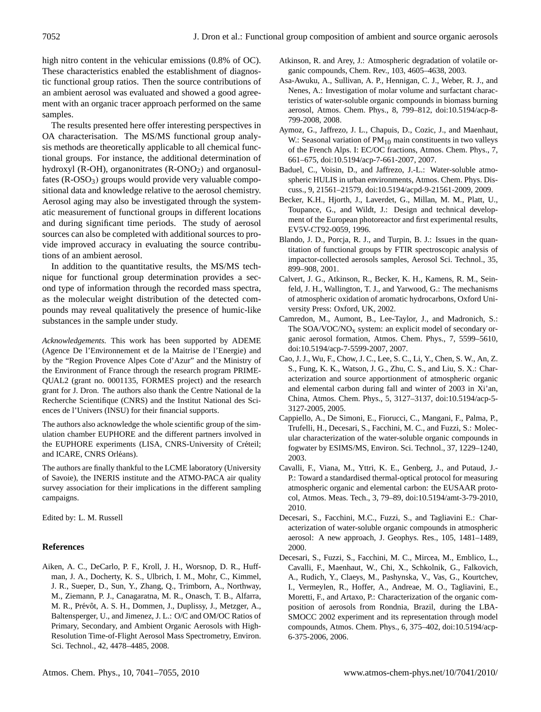high nitro content in the vehicular emissions (0.8% of OC). These characteristics enabled the establishment of diagnostic functional group ratios. Then the source contributions of an ambient aerosol was evaluated and showed a good agreement with an organic tracer approach performed on the same samples.

The results presented here offer interesting perspectives in OA characterisation. The MS/MS functional group analysis methods are theoretically applicable to all chemical functional groups. For instance, the additional determination of hydroxyl (R-OH), organonitrates (R-ONO<sub>2</sub>) and organosulfates  $(R\text{-OSO}_3)$  groups would provide very valuable compositional data and knowledge relative to the aerosol chemistry. Aerosol aging may also be investigated through the systematic measurement of functional groups in different locations and during significant time periods. The study of aerosol sources can also be completed with additional sources to provide improved accuracy in evaluating the source contributions of an ambient aerosol.

In addition to the quantitative results, the MS/MS technique for functional group determination provides a second type of information through the recorded mass spectra, as the molecular weight distribution of the detected compounds may reveal qualitatively the presence of humic-like substances in the sample under study.

*Acknowledgements.* This work has been supported by ADEME (Agence De l'Environnement et de la Maitrise de l'Energie) and by the "Region Provence Alpes Cote d'Azur" and the Ministry of the Environment of France through the research program PRIME-QUAL2 (grant no. 0001135, FORMES project) and the research grant for J. Dron. The authors also thank the Centre National de la Recherche Scientifique (CNRS) and the Institut National des Sciences de l'Univers (INSU) for their financial supports.

The authors also acknowledge the whole scientific group of the simulation chamber EUPHORE and the different partners involved in the EUPHORE experiments (LISA, CNRS-University of Créteil; and ICARE, CNRS Orléans).

The authors are finally thankful to the LCME laboratory (University of Savoie), the INERIS institute and the ATMO-PACA air quality survey association for their implications in the different sampling campaigns.

Edited by: L. M. Russell

#### **References**

Aiken, A. C., DeCarlo, P. F., Kroll, J. H., Worsnop, D. R., Huffman, J. A., Docherty, K. S., Ulbrich, I. M., Mohr, C., Kimmel, J. R., Sueper, D., Sun, Y., Zhang, Q., Trimborn, A., Northway, M., Ziemann, P. J., Canagaratna, M. R., Onasch, T. B., Alfarra, M. R., Prévôt, A. S. H., Dommen, J., Duplissy, J., Metzger, A., Baltensperger, U., and Jimenez, J. L.: O/C and OM/OC Ratios of Primary, Secondary, and Ambient Organic Aerosols with High-Resolution Time-of-Flight Aerosol Mass Spectrometry, Environ. Sci. Technol., 42, 4478–4485, 2008.

- Atkinson, R. and Arey, J.: Atmospheric degradation of volatile organic compounds, Chem. Rev., 103, 4605–4638, 2003.
- Asa-Awuku, A., Sullivan, A. P., Hennigan, C. J., Weber, R. J., and Nenes, A.: Investigation of molar volume and surfactant characteristics of water-soluble organic compounds in biomass burning aerosol, Atmos. Chem. Phys., 8, 799–812, doi:10.5194/acp-8- 799-2008, 2008.
- Aymoz, G., Jaffrezo, J. L., Chapuis, D., Cozic, J., and Maenhaut, W.: Seasonal variation of  $PM_{10}$  main constituents in two valleys of the French Alps. I: EC/OC fractions, Atmos. Chem. Phys., 7, 661–675, doi:10.5194/acp-7-661-2007, 2007.
- Baduel, C., Voisin, D., and Jaffrezo, J.-L.: Water-soluble atmospheric HULIS in urban environments, Atmos. Chem. Phys. Discuss., 9, 21561–21579, doi:10.5194/acpd-9-21561-2009, 2009.
- Becker, K.H., Hjorth, J., Laverdet, G., Millan, M. M., Platt, U., Toupance, G., and Wildt, J.: Design and technical development of the European photoreactor and first experimental results, EV5V-CT92-0059, 1996.
- Blando, J. D., Porcja, R. J., and Turpin, B. J.: Issues in the quantitation of functional groups by FTIR spectroscopic analysis of impactor-collected aerosols samples, Aerosol Sci. Technol., 35, 899–908, 2001.
- Calvert, J. G., Atkinson, R., Becker, K. H., Kamens, R. M., Seinfeld, J. H., Wallington, T. J., and Yarwood, G.: The mechanisms of atmospheric oxidation of aromatic hydrocarbons, Oxford University Press: Oxford, UK, 2002.
- Camredon, M., Aumont, B., Lee-Taylor, J., and Madronich, S.: The SOA/VOC/NO<sub>x</sub> system: an explicit model of secondary organic aerosol formation, Atmos. Chem. Phys., 7, 5599–5610, doi:10.5194/acp-7-5599-2007, 2007.
- Cao, J. J., Wu, F., Chow, J. C., Lee, S. C., Li, Y., Chen, S. W., An, Z. S., Fung, K. K., Watson, J. G., Zhu, C. S., and Liu, S. X.: Characterization and source apportionment of atmospheric organic and elemental carbon during fall and winter of 2003 in Xi'an, China, Atmos. Chem. Phys., 5, 3127–3137, doi:10.5194/acp-5- 3127-2005, 2005.
- Cappiello, A., De Simoni, E., Fiorucci, C., Mangani, F., Palma, P., Trufelli, H., Decesari, S., Facchini, M. C., and Fuzzi, S.: Molecular characterization of the water-soluble organic compounds in fogwater by ESIMS/MS, Environ. Sci. Technol., 37, 1229–1240, 2003.
- Cavalli, F., Viana, M., Yttri, K. E., Genberg, J., and Putaud, J.- P.: Toward a standardised thermal-optical protocol for measuring atmospheric organic and elemental carbon: the EUSAAR protocol, Atmos. Meas. Tech., 3, 79–89, doi:10.5194/amt-3-79-2010, 2010.
- Decesari, S., Facchini, M.C., Fuzzi, S., and Tagliavini E.: Characterization of water-soluble organic compounds in atmospheric aerosol: A new approach, J. Geophys. Res., 105, 1481–1489, 2000.
- Decesari, S., Fuzzi, S., Facchini, M. C., Mircea, M., Emblico, L., Cavalli, F., Maenhaut, W., Chi, X., Schkolnik, G., Falkovich, A., Rudich, Y., Claeys, M., Pashynska, V., Vas, G., Kourtchev, I., Vermeylen, R., Hoffer, A., Andreae, M. O., Tagliavini, E., Moretti, F., and Artaxo, P.: Characterization of the organic composition of aerosols from Rondnia, Brazil, during the LBA-SMOCC 2002 experiment and its representation through model compounds, Atmos. Chem. Phys., 6, 375–402, doi:10.5194/acp-6-375-2006, 2006.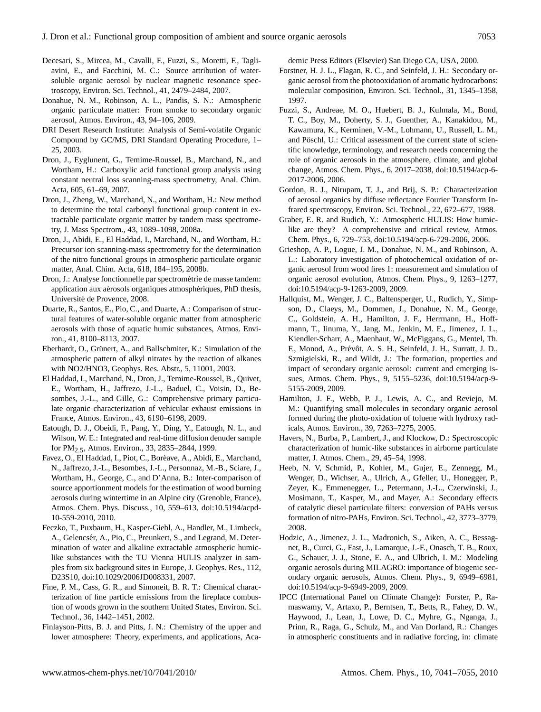- Decesari, S., Mircea, M., Cavalli, F., Fuzzi, S., Moretti, F., Tagliavini, E., and Facchini, M. C.: Source attribution of watersoluble organic aerosol by nuclear magnetic resonance spectroscopy, Environ. Sci. Technol., 41, 2479–2484, 2007.
- Donahue, N. M., Robinson, A. L., Pandis, S. N.: Atmospheric organic particulate matter: From smoke to secondary organic aerosol, Atmos. Environ., 43, 94–106, 2009.
- DRI Desert Research Institute: Analysis of Semi-volatile Organic Compound by GC/MS, DRI Standard Operating Procedure, 1– 25, 2003.
- Dron, J., Eyglunent, G., Temime-Roussel, B., Marchand, N., and Wortham, H.: Carboxylic acid functional group analysis using constant neutral loss scanning-mass spectrometry, Anal. Chim. Acta, 605, 61–69, 2007.
- Dron, J., Zheng, W., Marchand, N., and Wortham, H.: New method to determine the total carbonyl functional group content in extractable particulate organic matter by tandem mass spectrometry, J. Mass Spectrom., 43, 1089–1098, 2008a.
- Dron, J., Abidi, E., El Haddad, I., Marchand, N., and Wortham, H.: Precursor ion scanning-mass spectrometry for the determination of the nitro functional groups in atmospheric particulate organic matter, Anal. Chim. Acta, 618, 184–195, 2008b.
- Dron, J.: Analyse fonctionnelle par spectrométrie de masse tandem: application aux aérosols organiques atmosphériques, PhD thesis, Université de Provence, 2008.
- Duarte, R., Santos, E., Pio, C., and Duarte, A.: Comparison of structural features of water-soluble organic matter from atmospheric aerosols with those of aquatic humic substances, Atmos. Environ., 41, 8100–8113, 2007.
- Eberhardt, O., Grünert, A., and Ballschmiter, K.: Simulation of the atmospheric pattern of alkyl nitrates by the reaction of alkanes with NO2/HNO3, Geophys. Res. Abstr., 5, 11001, 2003.
- El Haddad, I., Marchand, N., Dron, J., Temime-Roussel, B., Quivet, E., Wortham, H., Jaffrezo, J.-L., Baduel, C., Voisin, D., Besombes, J.-L., and Gille, G.: Comprehensive primary particulate organic characterization of vehicular exhaust emissions in France, Atmos. Environ., 43, 6190–6198, 2009.
- Eatough, D. J., Obeidi, F., Pang, Y., Ding, Y., Eatough, N. L., and Wilson, W. E.: Integrated and real-time diffusion denuder sample for PM2.5, Atmos. Environ., 33, 2835–2844, 1999.
- Favez, O., El Haddad, I., Piot, C., Boreave, A., Abidi, E., Marchand, ´ N., Jaffrezo, J.-L., Besombes, J.-L., Personnaz, M.-B., Sciare, J., Wortham, H., George, C., and D'Anna, B.: Inter-comparison of source apportionment models for the estimation of wood burning aerosols during wintertime in an Alpine city (Grenoble, France), Atmos. Chem. Phys. Discuss., 10, 559–613, doi:10.5194/acpd-10-559-2010, 2010.
- Feczko, T., Puxbaum, H., Kasper-Giebl, A., Handler, M., Limbeck, A., Gelencsér, A., Pio, C., Preunkert, S., and Legrand, M. Determination of water and alkaline extractable atmospheric humiclike substances with the TU Vienna HULIS analyzer in samples from six background sites in Europe, J. Geophys. Res., 112, D23S10, doi:10.1029/2006JD008331, 2007.
- Fine, P. M., Cass, G. R., and Simoneit, B. R. T.: Chemical characterization of fine particle emissions from the fireplace combustion of woods grown in the southern United States, Environ. Sci. Technol., 36, 1442–1451, 2002.
- Finlayson-Pitts, B. J. and Pitts, J. N.: Chemistry of the upper and lower atmosphere: Theory, experiments, and applications, Aca-

demic Press Editors (Elsevier) San Diego CA, USA, 2000.

- Forstner, H. J. L., Flagan, R. C., and Seinfeld, J. H.: Secondary organic aerosol from the photooxidation of aromatic hydrocarbons: molecular composition, Environ. Sci. Technol., 31, 1345–1358, 1997.
- Fuzzi, S., Andreae, M. O., Huebert, B. J., Kulmala, M., Bond, T. C., Boy, M., Doherty, S. J., Guenther, A., Kanakidou, M., Kawamura, K., Kerminen, V.-M., Lohmann, U., Russell, L. M., and Pöschl, U.: Critical assessment of the current state of scientific knowledge, terminology, and research needs concerning the role of organic aerosols in the atmosphere, climate, and global change, Atmos. Chem. Phys., 6, 2017–2038, doi:10.5194/acp-6- 2017-2006, 2006.
- Gordon, R. J., Nirupam, T. J., and Brij, S. P.: Characterization of aerosol organics by diffuse reflectance Fourier Transform Infrared spectroscopy, Environ. Sci. Technol., 22, 672–677, 1988.
- Graber, E. R. and Rudich, Y.: Atmospheric HULIS: How humiclike are they? A comprehensive and critical review, Atmos. Chem. Phys., 6, 729–753, doi:10.5194/acp-6-729-2006, 2006.
- Grieshop, A. P., Logue, J. M., Donahue, N. M., and Robinson, A. L.: Laboratory investigation of photochemical oxidation of organic aerosol from wood fires 1: measurement and simulation of organic aerosol evolution, Atmos. Chem. Phys., 9, 1263–1277, doi:10.5194/acp-9-1263-2009, 2009.
- Hallquist, M., Wenger, J. C., Baltensperger, U., Rudich, Y., Simpson, D., Claeys, M., Dommen, J., Donahue, N. M., George, C., Goldstein, A. H., Hamilton, J. F., Herrmann, H., Hoffmann, T., Iinuma, Y., Jang, M., Jenkin, M. E., Jimenez, J. L., Kiendler-Scharr, A., Maenhaut, W., McFiggans, G., Mentel, Th. F., Monod, A., Prévôt, A. S. H., Seinfeld, J. H., Surratt, J. D., Szmigielski, R., and Wildt, J.: The formation, properties and impact of secondary organic aerosol: current and emerging issues, Atmos. Chem. Phys., 9, 5155–5236, doi:10.5194/acp-9- 5155-2009, 2009.
- Hamilton, J. F., Webb, P. J., Lewis, A. C., and Reviejo, M. M.: Quantifying small molecules in secondary organic aerosol formed during the photo-oxidation of toluene with hydroxy radicals, Atmos. Environ., 39, 7263–7275, 2005.
- Havers, N., Burba, P., Lambert, J., and Klockow, D.: Spectroscopic characterization of humic-like substances in airborne particulate matter, J. Atmos. Chem., 29, 45–54, 1998.
- Heeb, N. V, Schmid, P., Kohler, M., Gujer, E., Zennegg, M., Wenger, D., Wichser, A., Ulrich, A., Gfeller, U., Honegger, P., Zeyer, K., Emmenegger, L., Petermann, J.-L., Czerwinski, J., Mosimann, T., Kasper, M., and Mayer, A.: Secondary effects of catalytic diesel particulate filters: conversion of PAHs versus formation of nitro-PAHs, Environ. Sci. Technol., 42, 3773–3779, 2008.
- Hodzic, A., Jimenez, J. L., Madronich, S., Aiken, A. C., Bessagnet, B., Curci, G., Fast, J., Lamarque, J.-F., Onasch, T. B., Roux, G., Schauer, J. J., Stone, E. A., and Ulbrich, I. M.: Modeling organic aerosols during MILAGRO: importance of biogenic secondary organic aerosols, Atmos. Chem. Phys., 9, 6949–6981, doi:10.5194/acp-9-6949-2009, 2009.
- IPCC (International Panel on Climate Change): Forster, P., Ramaswamy, V., Artaxo, P., Berntsen, T., Betts, R., Fahey, D. W., Haywood, J., Lean, J., Lowe, D. C., Myhre, G., Nganga, J., Prinn, R., Raga, G., Schulz, M., and Van Dorland, R.: Changes in atmospheric constituents and in radiative forcing, in: climate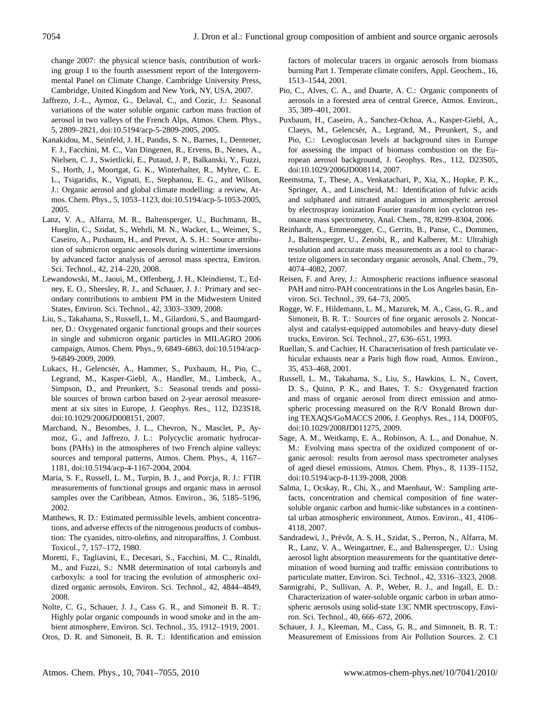change 2007: the physical science basis, contribution of working group I to the fourth assessment report of the Intergovernmental Panel on Climate Change. Cambridge University Press, Cambridge, United Kingdom and New York, NY, USA, 2007.

- Jaffrezo, J.-L., Aymoz, G., Delaval, C., and Cozic, J.: Seasonal variations of the water soluble organic carbon mass fraction of aerosol in two valleys of the French Alps, Atmos. Chem. Phys., 5, 2809–2821, doi:10.5194/acp-5-2809-2005, 2005.
- Kanakidou, M., Seinfeld, J. H., Pandis, S. N., Barnes, I., Dentener, F. J., Facchini, M. C., Van Dingenen, R., Ervens, B., Nenes, A., Nielsen, C. J., Swietlicki, E., Putaud, J. P., Balkanski, Y., Fuzzi, S., Horth, J., Moortgat, G. K., Winterhalter, R., Myhre, C. E. L., Tsigaridis, K., Vignati, E., Stephanou, E. G., and Wilson, J.: Organic aerosol and global climate modelling: a review, Atmos. Chem. Phys., 5, 1053–1123, doi:10.5194/acp-5-1053-2005, 2005.
- Lanz, V. A., Alfarra, M. R., Baltensperger, U., Buchmann, B., Hueglin, C., Szidat, S., Wehrli, M. N., Wacker, L., Weimer, S., Caseiro, A., Puxbaum, H., and Prevot, A. S. H.: Source attribution of submicron organic aerosols during wintertime inversions by advanced factor analysis of aerosol mass spectra, Environ. Sci. Technol., 42, 214–220, 2008.
- Lewandowski, M., Jaoui, M., Offenberg, J. H., Kleindienst, T., Edney, E. O., Sheesley, R. J., and Schauer, J. J.: Primary and secondary contributions to ambient PM in the Midwestern United States, Environ. Sci. Technol., 42, 3303–3309, 2008.
- Liu, S., Takahama, S., Russell, L. M., Gilardoni, S., and Baumgardner, D.: Oxygenated organic functional groups and their sources in single and submicron organic particles in MILAGRO 2006 campaign, Atmos. Chem. Phys., 9, 6849–6863, doi:10.5194/acp-9-6849-2009, 2009.
- Lukacs, H., Gelencsér, A., Hammer, S., Puxbaum, H., Pio, C., Legrand, M., Kasper-Giebl, A., Handler, M., Limbeck, A., Simpson, D., and Preunkert, S.: Seasonal trends and possible sources of brown carbon based on 2-year aerosol measurement at six sites in Europe, J. Geophys. Res., 112, D23S18, doi:10.1029/2006JD008151, 2007.
- Marchand, N., Besombes, J. L., Chevron, N., Masclet, P., Aymoz, G., and Jaffrezo, J. L.: Polycyclic aromatic hydrocarbons (PAHs) in the atmospheres of two French alpine valleys: sources and temporal patterns, Atmos. Chem. Phys., 4, 1167– 1181, doi:10.5194/acp-4-1167-2004, 2004.
- Maria, S. F., Russell, L. M., Turpin, B. J., and Porcja, R. J.: FTIR measurements of functional groups and organic mass in aerosol samples over the Caribbean, Atmos. Environ., 36, 5185–5196, 2002.
- Matthews, R. D.: Estimated permissible levels, ambient concentrations, and adverse effects of the nitrogenous products of combustion: The cyanides, nitro-olefins, and nitroparaffins, J. Combust. Toxicol., 7, 157–172, 1980.
- Moretti, F., Tagliavini, E., Decesari, S., Facchini, M. C., Rinaldi, M., and Fuzzi, S.: NMR determination of total carbonyls and carboxyls: a tool for tracing the evolution of atmospheric oxidized organic aerosols, Environ. Sci. Technol., 42, 4844–4849, 2008.
- Nolte, C. G., Schauer, J. J., Cass G. R., and Simoneit B. R. T.: Highly polar organic compounds in wood smoke and in the ambient atmosphere, Environ. Sci. Technol., 35, 1912–1919, 2001.

Oros, D. R. and Simoneit, B. R. T.: Identification and emission

factors of molecular tracers in organic aerosols from biomass burning Part 1. Temperate climate conifers, Appl. Geochem., 16, 1513–1544, 2001.

- Pio, C., Alves, C. A., and Duarte, A. C.: Organic components of aerosols in a forested area of central Greece, Atmos. Environ., 35, 389–401, 2001.
- Puxbaum, H., Caseiro, A., Sanchez-Ochoa, A., Kasper-Giebl, A., Claeys, M., Gelencsér, A., Legrand, M., Preunkert, S., and Pio, C.: Levoglucosan levels at background sites in Europe for assessing the impact of biomass combustion on the European aerosol background, J. Geophys. Res., 112, D23S05, doi:10.1029/2006JD008114, 2007.
- Reemstma, T., These, A., Venkatachari, P., Xia, X., Hopke, P. K., Springer, A., and Linscheid, M.: Identification of fulvic acids and sulphated and nitrated analogues in atmospheric aerosol by electrospray ionization Fourier transform ion cyclotron resonance mass spectrometry, Anal. Chem., 78, 8299–8304, 2006.
- Reinhardt, A., Emmenegger, C., Gerrits, B., Panse, C., Dommen, J., Baltensperger, U., Zenobi, R., and Kalberer, M.: Ultrahigh resolution and accurate mass measurements as a tool to characterize oligomers in secondary organic aerosols, Anal. Chem., 79, 4074–4082, 2007.
- Reisen, F. and Arey, J.: Atmospheric reactions influence seasonal PAH and nitro-PAH concentrations in the Los Angeles basin, Environ. Sci. Technol., 39, 64–73, 2005.
- Rogge, W. F., Hildemann, L. M., Mazurek, M. A., Cass, G. R., and Simoneit, B. R. T.: Sources of fine organic aerosols 2. Noncatalyst and catalyst-equipped automobiles and heavy-duty diesel trucks, Environ. Sci. Technol., 27, 636–651, 1993.
- Ruellan, S. and Cachier, H. Characterisation of fresh particulate vehicular exhausts near a Paris high flow road, Atmos. Environ., 35, 453–468, 2001.
- Russell, L. M., Takahama, S., Liu, S., Hawkins, L. N., Covert, D. S., Quinn, P. K., and Bates, T. S.: Oxygenated fraction and mass of organic aerosol from direct emission and atmospheric processing measured on the R/V Ronald Brown during TEXAQS/GoMACCS 2006, J. Geophys. Res., 114, D00F05, doi:10.1029/2008JD011275, 2009.
- Sage, A. M., Weitkamp, E. A., Robinson, A. L., and Donahue, N. M.: Evolving mass spectra of the oxidized component of organic aerosol: results from aerosol mass spectrometer analyses of aged diesel emissions, Atmos. Chem. Phys., 8, 1139–1152, doi:10.5194/acp-8-1139-2008, 2008.
- Salma, I., Ocskay, R., Chi, X., and Maenhaut, W.: Sampling artefacts, concentration and chemical composition of fine watersoluble organic carbon and humic-like substances in a continental urban atmospheric environment, Atmos. Environ., 41, 4106– 4118, 2007.
- Sandradewi, J., Prévôt, A. S. H., Szidat, S., Perron, N., Alfarra, M. R., Lanz, V. A., Weingartner, E., and Baltensperger, U.: Using aerosol light absorption measurements for the quantitative determination of wood burning and traffic emission contributions to particulate matter, Environ. Sci. Technol., 42, 3316–3323, 2008.
- Sannigrahi, P., Sullivan, A. P., Weber, R. J., and Ingall, E. D.: Characterization of water-soluble organic carbon in urban atmospheric aerosols using solid-state 13C NMR spectroscopy, Environ. Sci. Technol., 40, 666–672, 2006.
- Schauer, J. J., Kleeman, M., Cass, G. R., and Simoneit, B. R. T.: Measurement of Emissions from Air Pollution Sources. 2. C1